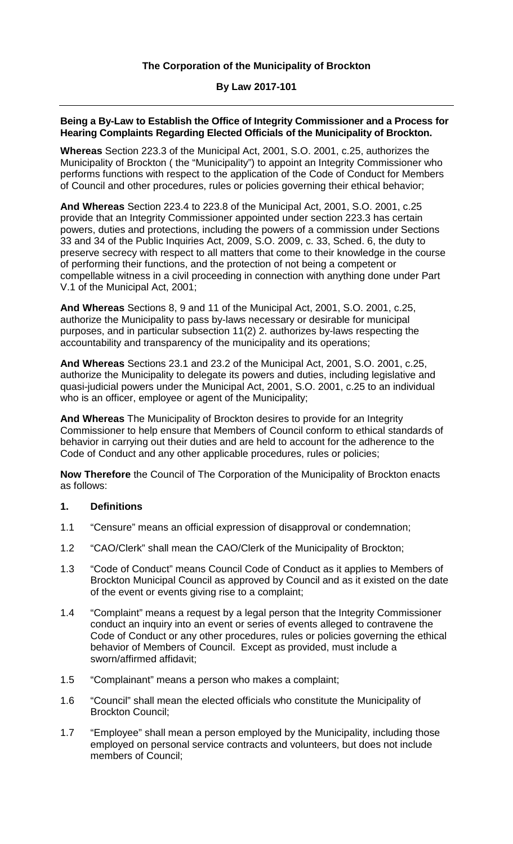### **By Law 2017-101**

### **Being a By-Law to Establish the Office of Integrity Commissioner and a Process for Hearing Complaints Regarding Elected Officials of the Municipality of Brockton.**

**Whereas** Section 223.3 of the Municipal Act, 2001, S.O. 2001, c.25, authorizes the Municipality of Brockton ( the "Municipality") to appoint an Integrity Commissioner who performs functions with respect to the application of the Code of Conduct for Members of Council and other procedures, rules or policies governing their ethical behavior;

**And Whereas** Section 223.4 to 223.8 of the Municipal Act, 2001, S.O. 2001, c.25 provide that an Integrity Commissioner appointed under section 223.3 has certain powers, duties and protections, including the powers of a commission under Sections 33 and 34 of the Public Inquiries Act, 2009, S.O. 2009, c. 33, Sched. 6, the duty to preserve secrecy with respect to all matters that come to their knowledge in the course of performing their functions, and the protection of not being a competent or compellable witness in a civil proceeding in connection with anything done under Part V.1 of the Municipal Act, 2001;

**And Whereas** Sections 8, 9 and 11 of the Municipal Act, 2001, S.O. 2001, c.25, authorize the Municipality to pass by-laws necessary or desirable for municipal purposes, and in particular subsection 11(2) 2. authorizes by-laws respecting the accountability and transparency of the municipality and its operations;

**And Whereas** Sections 23.1 and 23.2 of the Municipal Act, 2001, S.O. 2001, c.25, authorize the Municipality to delegate its powers and duties, including legislative and quasi-judicial powers under the Municipal Act, 2001, S.O. 2001, c.25 to an individual who is an officer, employee or agent of the Municipality;

**And Whereas** The Municipality of Brockton desires to provide for an Integrity Commissioner to help ensure that Members of Council conform to ethical standards of behavior in carrying out their duties and are held to account for the adherence to the Code of Conduct and any other applicable procedures, rules or policies;

**Now Therefore** the Council of The Corporation of the Municipality of Brockton enacts as follows:

## **1. Definitions**

- 1.1 "Censure" means an official expression of disapproval or condemnation;
- 1.2 "CAO/Clerk" shall mean the CAO/Clerk of the Municipality of Brockton;
- 1.3 "Code of Conduct" means Council Code of Conduct as it applies to Members of Brockton Municipal Council as approved by Council and as it existed on the date of the event or events giving rise to a complaint;
- 1.4 "Complaint" means a request by a legal person that the Integrity Commissioner conduct an inquiry into an event or series of events alleged to contravene the Code of Conduct or any other procedures, rules or policies governing the ethical behavior of Members of Council. Except as provided, must include a sworn/affirmed affidavit;
- 1.5 "Complainant" means a person who makes a complaint;
- 1.6 "Council" shall mean the elected officials who constitute the Municipality of Brockton Council;
- 1.7 "Employee" shall mean a person employed by the Municipality, including those employed on personal service contracts and volunteers, but does not include members of Council;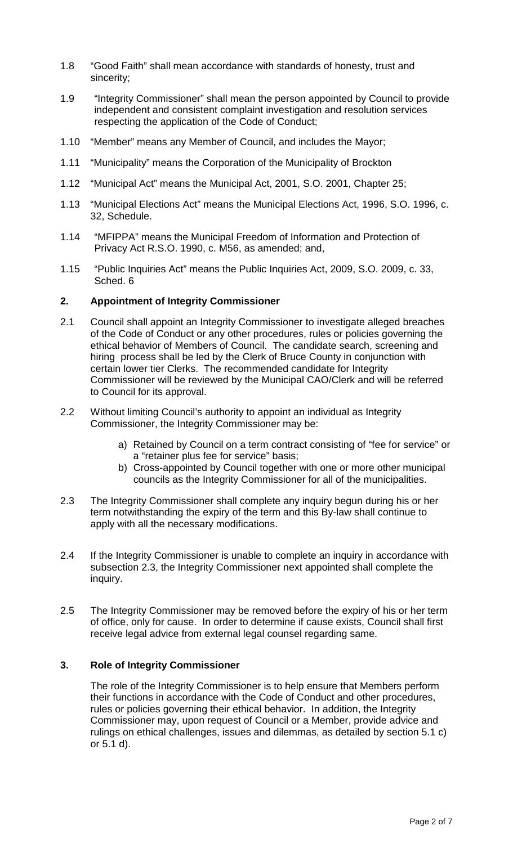- 1.8 "Good Faith" shall mean accordance with standards of honesty, trust and sincerity;
- 1.9 "Integrity Commissioner" shall mean the person appointed by Council to provide independent and consistent complaint investigation and resolution services respecting the application of the Code of Conduct;
- 1.10 "Member" means any Member of Council, and includes the Mayor;
- 1.11 "Municipality" means the Corporation of the Municipality of Brockton
- 1.12 "Municipal Act" means the Municipal Act, 2001, S.O. 2001, Chapter 25;
- 1.13 "Municipal Elections Act" means the Municipal Elections Act, 1996, S.O. 1996, c. 32, Schedule.
- 1.14 "MFIPPA" means the Municipal Freedom of Information and Protection of Privacy Act R.S.O. 1990, c. M56, as amended; and,
- 1.15 "Public Inquiries Act" means the Public Inquiries Act, 2009, S.O. 2009, c. 33, Sched. 6

### **2. Appointment of Integrity Commissioner**

- 2.1 Council shall appoint an Integrity Commissioner to investigate alleged breaches of the Code of Conduct or any other procedures, rules or policies governing the ethical behavior of Members of Council. The candidate search, screening and hiring process shall be led by the Clerk of Bruce County in conjunction with certain lower tier Clerks. The recommended candidate for Integrity Commissioner will be reviewed by the Municipal CAO/Clerk and will be referred to Council for its approval.
- 2.2 Without limiting Council's authority to appoint an individual as Integrity Commissioner, the Integrity Commissioner may be:
	- a) Retained by Council on a term contract consisting of "fee for service" or a "retainer plus fee for service" basis;
	- b) Cross-appointed by Council together with one or more other municipal councils as the Integrity Commissioner for all of the municipalities.
- 2.3 The Integrity Commissioner shall complete any inquiry begun during his or her term notwithstanding the expiry of the term and this By-law shall continue to apply with all the necessary modifications.
- 2.4 If the Integrity Commissioner is unable to complete an inquiry in accordance with subsection 2.3, the Integrity Commissioner next appointed shall complete the inquiry.
- 2.5 The Integrity Commissioner may be removed before the expiry of his or her term of office, only for cause. In order to determine if cause exists, Council shall first receive legal advice from external legal counsel regarding same.

## **3. Role of Integrity Commissioner**

The role of the Integrity Commissioner is to help ensure that Members perform their functions in accordance with the Code of Conduct and other procedures, rules or policies governing their ethical behavior. In addition, the Integrity Commissioner may, upon request of Council or a Member, provide advice and rulings on ethical challenges, issues and dilemmas, as detailed by section 5.1 c) or 5.1 d).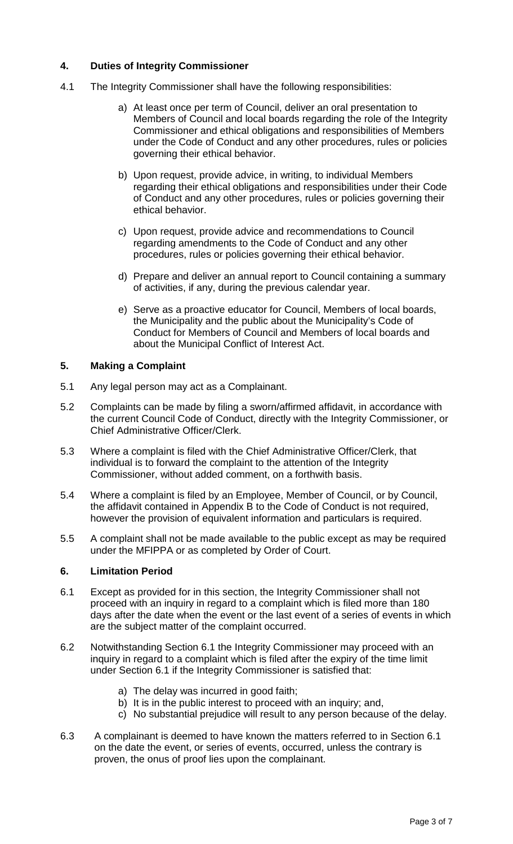# **4. Duties of Integrity Commissioner**

- 4.1 The Integrity Commissioner shall have the following responsibilities:
	- a) At least once per term of Council, deliver an oral presentation to Members of Council and local boards regarding the role of the Integrity Commissioner and ethical obligations and responsibilities of Members under the Code of Conduct and any other procedures, rules or policies governing their ethical behavior.
	- b) Upon request, provide advice, in writing, to individual Members regarding their ethical obligations and responsibilities under their Code of Conduct and any other procedures, rules or policies governing their ethical behavior.
	- c) Upon request, provide advice and recommendations to Council regarding amendments to the Code of Conduct and any other procedures, rules or policies governing their ethical behavior.
	- d) Prepare and deliver an annual report to Council containing a summary of activities, if any, during the previous calendar year.
	- e) Serve as a proactive educator for Council, Members of local boards, the Municipality and the public about the Municipality's Code of Conduct for Members of Council and Members of local boards and about the Municipal Conflict of Interest Act.

## **5. Making a Complaint**

- 5.1 Any legal person may act as a Complainant.
- 5.2 Complaints can be made by filing a sworn/affirmed affidavit, in accordance with the current Council Code of Conduct, directly with the Integrity Commissioner, or Chief Administrative Officer/Clerk.
- 5.3 Where a complaint is filed with the Chief Administrative Officer/Clerk, that individual is to forward the complaint to the attention of the Integrity Commissioner, without added comment, on a forthwith basis.
- 5.4 Where a complaint is filed by an Employee, Member of Council, or by Council, the affidavit contained in Appendix B to the Code of Conduct is not required, however the provision of equivalent information and particulars is required.
- 5.5 A complaint shall not be made available to the public except as may be required under the MFIPPA or as completed by Order of Court.

## **6. Limitation Period**

- 6.1 Except as provided for in this section, the Integrity Commissioner shall not proceed with an inquiry in regard to a complaint which is filed more than 180 days after the date when the event or the last event of a series of events in which are the subject matter of the complaint occurred.
- 6.2 Notwithstanding Section 6.1 the Integrity Commissioner may proceed with an inquiry in regard to a complaint which is filed after the expiry of the time limit under Section 6.1 if the Integrity Commissioner is satisfied that:
	- a) The delay was incurred in good faith;
	- b) It is in the public interest to proceed with an inquiry; and,
	- c) No substantial prejudice will result to any person because of the delay.
- 6.3 A complainant is deemed to have known the matters referred to in Section 6.1 on the date the event, or series of events, occurred, unless the contrary is proven, the onus of proof lies upon the complainant.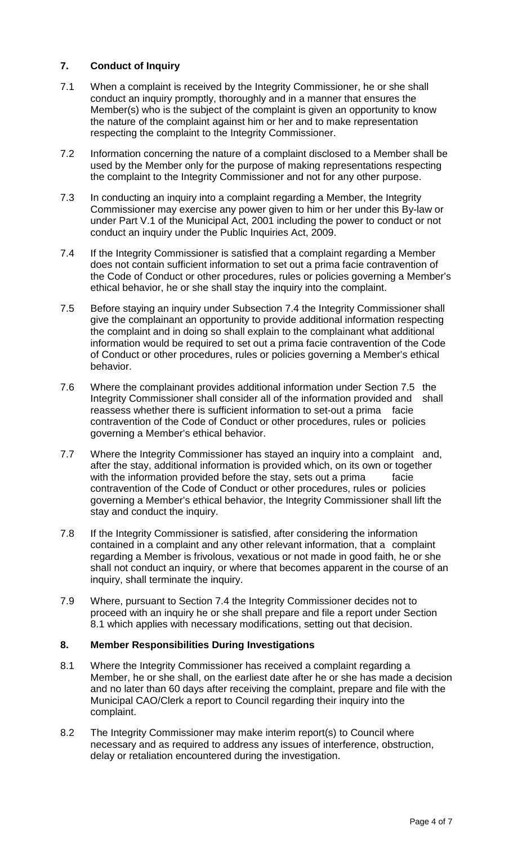# **7. Conduct of Inquiry**

- 7.1 When a complaint is received by the Integrity Commissioner, he or she shall conduct an inquiry promptly, thoroughly and in a manner that ensures the Member(s) who is the subject of the complaint is given an opportunity to know the nature of the complaint against him or her and to make representation respecting the complaint to the Integrity Commissioner.
- 7.2 Information concerning the nature of a complaint disclosed to a Member shall be used by the Member only for the purpose of making representations respecting the complaint to the Integrity Commissioner and not for any other purpose.
- 7.3 In conducting an inquiry into a complaint regarding a Member, the Integrity Commissioner may exercise any power given to him or her under this By-law or under Part V.1 of the Municipal Act, 2001 including the power to conduct or not conduct an inquiry under the Public Inquiries Act, 2009.
- 7.4 If the Integrity Commissioner is satisfied that a complaint regarding a Member does not contain sufficient information to set out a prima facie contravention of the Code of Conduct or other procedures, rules or policies governing a Member's ethical behavior, he or she shall stay the inquiry into the complaint.
- 7.5 Before staying an inquiry under Subsection 7.4 the Integrity Commissioner shall give the complainant an opportunity to provide additional information respecting the complaint and in doing so shall explain to the complainant what additional information would be required to set out a prima facie contravention of the Code of Conduct or other procedures, rules or policies governing a Member's ethical behavior.
- 7.6 Where the complainant provides additional information under Section 7.5 the Integrity Commissioner shall consider all of the information provided and shall reassess whether there is sufficient information to set-out a prima facie contravention of the Code of Conduct or other procedures, rules or policies governing a Member's ethical behavior.
- 7.7 Where the Integrity Commissioner has stayed an inquiry into a complaint and, after the stay, additional information is provided which, on its own or together with the information provided before the stay, sets out a prima facie contravention of the Code of Conduct or other procedures, rules or policies governing a Member's ethical behavior, the Integrity Commissioner shall lift the stay and conduct the inquiry.
- 7.8 If the Integrity Commissioner is satisfied, after considering the information contained in a complaint and any other relevant information, that a complaint regarding a Member is frivolous, vexatious or not made in good faith, he or she shall not conduct an inquiry, or where that becomes apparent in the course of an inquiry, shall terminate the inquiry.
- 7.9 Where, pursuant to Section 7.4 the Integrity Commissioner decides not to proceed with an inquiry he or she shall prepare and file a report under Section 8.1 which applies with necessary modifications, setting out that decision.

## **8. Member Responsibilities During Investigations**

- 8.1 Where the Integrity Commissioner has received a complaint regarding a Member, he or she shall, on the earliest date after he or she has made a decision and no later than 60 days after receiving the complaint, prepare and file with the Municipal CAO/Clerk a report to Council regarding their inquiry into the complaint.
- 8.2 The Integrity Commissioner may make interim report(s) to Council where necessary and as required to address any issues of interference, obstruction, delay or retaliation encountered during the investigation.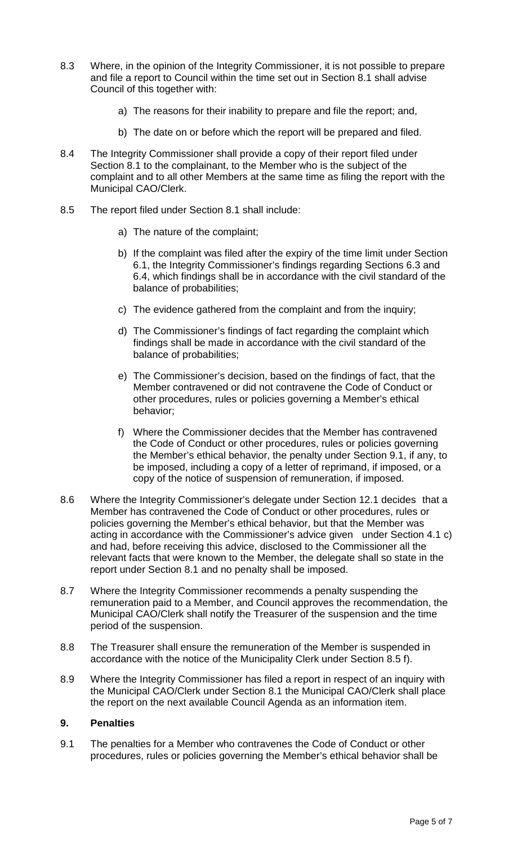- 8.3 Where, in the opinion of the Integrity Commissioner, it is not possible to prepare and file a report to Council within the time set out in Section 8.1 shall advise Council of this together with:
	- a) The reasons for their inability to prepare and file the report; and,
	- b) The date on or before which the report will be prepared and filed.
- 8.4 The Integrity Commissioner shall provide a copy of their report filed under Section 8.1 to the complainant, to the Member who is the subject of the complaint and to all other Members at the same time as filing the report with the Municipal CAO/Clerk.
- 8.5 The report filed under Section 8.1 shall include:
	- a) The nature of the complaint;
	- b) If the complaint was filed after the expiry of the time limit under Section 6.1, the Integrity Commissioner's findings regarding Sections 6.3 and 6.4, which findings shall be in accordance with the civil standard of the balance of probabilities;
	- c) The evidence gathered from the complaint and from the inquiry;
	- d) The Commissioner's findings of fact regarding the complaint which findings shall be made in accordance with the civil standard of the balance of probabilities;
	- e) The Commissioner's decision, based on the findings of fact, that the Member contravened or did not contravene the Code of Conduct or other procedures, rules or policies governing a Member's ethical behavior;
	- f) Where the Commissioner decides that the Member has contravened the Code of Conduct or other procedures, rules or policies governing the Member's ethical behavior, the penalty under Section 9.1, if any, to be imposed, including a copy of a letter of reprimand, if imposed, or a copy of the notice of suspension of remuneration, if imposed.
- 8.6 Where the Integrity Commissioner's delegate under Section 12.1 decides that a Member has contravened the Code of Conduct or other procedures, rules or policies governing the Member's ethical behavior, but that the Member was acting in accordance with the Commissioner's advice given under Section 4.1 c) and had, before receiving this advice, disclosed to the Commissioner all the relevant facts that were known to the Member, the delegate shall so state in the report under Section 8.1 and no penalty shall be imposed.
- 8.7 Where the Integrity Commissioner recommends a penalty suspending the remuneration paid to a Member, and Council approves the recommendation, the Municipal CAO/Clerk shall notify the Treasurer of the suspension and the time period of the suspension.
- 8.8 The Treasurer shall ensure the remuneration of the Member is suspended in accordance with the notice of the Municipality Clerk under Section 8.5 f).
- 8.9 Where the Integrity Commissioner has filed a report in respect of an inquiry with the Municipal CAO/Clerk under Section 8.1 the Municipal CAO/Clerk shall place the report on the next available Council Agenda as an information item.

#### **9. Penalties**

9.1 The penalties for a Member who contravenes the Code of Conduct or other procedures, rules or policies governing the Member's ethical behavior shall be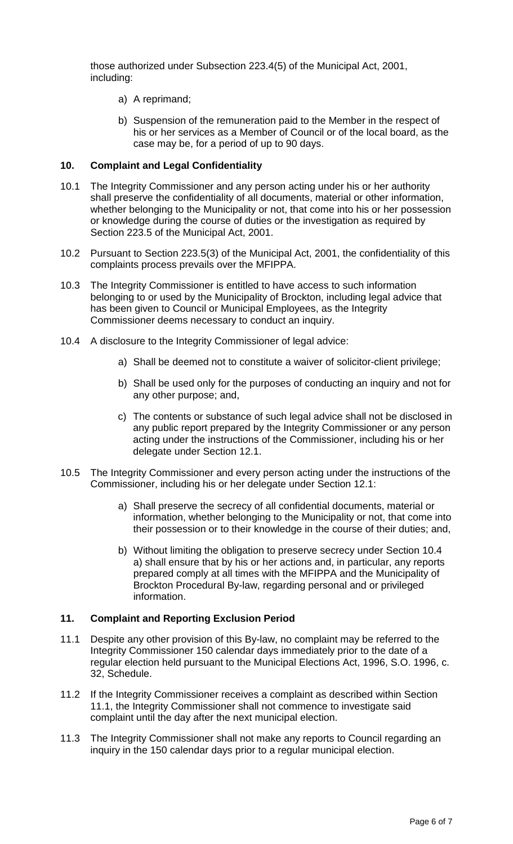those authorized under Subsection 223.4(5) of the Municipal Act, 2001, including:

- a) A reprimand;
- b) Suspension of the remuneration paid to the Member in the respect of his or her services as a Member of Council or of the local board, as the case may be, for a period of up to 90 days.

### **10. Complaint and Legal Confidentiality**

- 10.1 The Integrity Commissioner and any person acting under his or her authority shall preserve the confidentiality of all documents, material or other information, whether belonging to the Municipality or not, that come into his or her possession or knowledge during the course of duties or the investigation as required by Section 223.5 of the Municipal Act, 2001.
- 10.2 Pursuant to Section 223.5(3) of the Municipal Act, 2001, the confidentiality of this complaints process prevails over the MFIPPA.
- 10.3 The Integrity Commissioner is entitled to have access to such information belonging to or used by the Municipality of Brockton, including legal advice that has been given to Council or Municipal Employees, as the Integrity Commissioner deems necessary to conduct an inquiry.
- 10.4 A disclosure to the Integrity Commissioner of legal advice:
	- a) Shall be deemed not to constitute a waiver of solicitor-client privilege;
	- b) Shall be used only for the purposes of conducting an inquiry and not for any other purpose; and,
	- c) The contents or substance of such legal advice shall not be disclosed in any public report prepared by the Integrity Commissioner or any person acting under the instructions of the Commissioner, including his or her delegate under Section 12.1.
- 10.5 The Integrity Commissioner and every person acting under the instructions of the Commissioner, including his or her delegate under Section 12.1:
	- a) Shall preserve the secrecy of all confidential documents, material or information, whether belonging to the Municipality or not, that come into their possession or to their knowledge in the course of their duties; and,
	- b) Without limiting the obligation to preserve secrecy under Section 10.4 a) shall ensure that by his or her actions and, in particular, any reports prepared comply at all times with the MFIPPA and the Municipality of Brockton Procedural By-law, regarding personal and or privileged information.

#### **11. Complaint and Reporting Exclusion Period**

- 11.1 Despite any other provision of this By-law, no complaint may be referred to the Integrity Commissioner 150 calendar days immediately prior to the date of a regular election held pursuant to the Municipal Elections Act, 1996, S.O. 1996, c. 32, Schedule.
- 11.2 If the Integrity Commissioner receives a complaint as described within Section 11.1, the Integrity Commissioner shall not commence to investigate said complaint until the day after the next municipal election.
- 11.3 The Integrity Commissioner shall not make any reports to Council regarding an inquiry in the 150 calendar days prior to a regular municipal election.